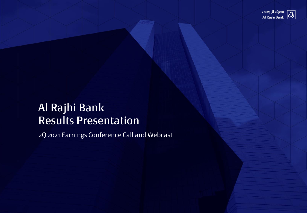

## Al Rajhi Bank Results Presentation

2Q 2021 Earnings Conference Call and Webcast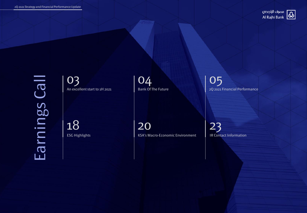

Earnings Call Earnings Call

03 An excellent start to 1H 2021

18 ESG Highlights 04 Bank Of The Future

20 KSA's Macro-Economic Environment

05 2Q 2021 Financial Performance

23 IR Contact Information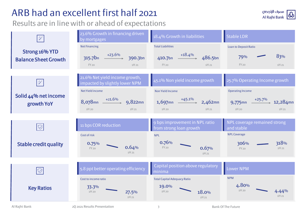## ARB had an excellent first half 2021

### Results are in line with or ahead of expectations

| $\mathbb{F}$                                  | 23.6% Growth in financing driven<br>by mortgages                               | 18.4% Growth in liabilities                                                      | <b>Stable LDR</b>                                                                   |
|-----------------------------------------------|--------------------------------------------------------------------------------|----------------------------------------------------------------------------------|-------------------------------------------------------------------------------------|
| Strong 16% YTD<br><b>Balance Sheet Growth</b> | <b>Net Financing</b><br>315.7bn $+23.6\%$<br>390.3bn<br><b>FY 20</b><br>1H21   | <b>Total Liabilities</b><br>410.7bn $+18.4\%$<br>486.5bn<br><b>FY 20</b><br>1H21 | <b>Loan to Deposit Ratio</b><br>83%<br>79%<br><b>FY 20</b><br>1H21                  |
| $\tilde{\mathcal{F}}^{\Gamma}$                | 21.6% Net yield income growth,<br>impacted by slightly lower NPM               | 45.1% Non yield income growth                                                    | 25.7% Operating Income growth                                                       |
| Solid 44% net income<br>growth YoY            | Net Yield income<br>$8,078$ mn $\xrightarrow{+21.6\%}$ 9,822mn<br>1H20<br>1H21 | Non Yield Income<br>1,697mn $\xrightarrow{+45.1\%}$ 2,462mn<br>1H20<br>1H21      | <b>Operating Income</b><br>9,775mn $\xrightarrow{+25.7\%}$ 12,284mn<br>1H20<br>1H21 |
| $ \heartsuit $                                | 11 bps COR reduction                                                           | 9 bps improvement in NPL ratio<br>from strong loan growth                        | NPL coverage remained strong<br>and stable                                          |
| <b>Stable credit quality</b>                  | Cost of risk<br>0.75%<br>0.64%<br><b>FY 20</b><br>1H21                         | <b>NPL</b><br>0.76%<br><b>FY 20</b><br>0.67%<br>1H21                             | <b>NPL Coverage</b><br>318%<br>306%<br>1H21<br><b>FY 20</b>                         |
| $\bigcirc$                                    | 5.8 ppt better operating efficiency                                            | Capital position above regulatory<br>minima                                      | <b>Lower NPM</b>                                                                    |
| <b>Key Ratios</b>                             | Cost to income ratio<br>33.3%<br>1H20<br>27.5%<br>1H21                         | <b>Total Capital Adequacy Ratio</b><br>19.0%<br>1H20<br>18.0%<br>1H21            | <b>NPM</b><br>4.80%<br>1H20<br>1H21                                                 |

3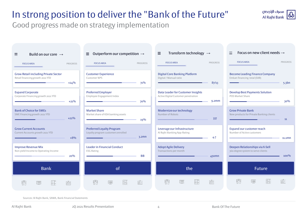## In strong position to deliver the "Bank of the Future"

Good progress made on strategy implementation

| Build on our core $\rightarrow$<br>亖                                            |          | Outperform our competition $\rightarrow$<br>$\equiv$                   |           | Transform technology $\rightarrow$<br>$\equiv$                           |                    | Focus on new client needs $\rightarrow$<br>Ξ                          |                   |
|---------------------------------------------------------------------------------|----------|------------------------------------------------------------------------|-----------|--------------------------------------------------------------------------|--------------------|-----------------------------------------------------------------------|-------------------|
| <b>FOCUS AREA</b>                                                               | PROGRESS | <b>FOCUS AREA</b>                                                      | PROGRESS  | <b>FOCUS AREA</b>                                                        | PROGRESS           | <b>FOCUS AREA</b>                                                     | PROGRESS          |
| <b>Grow Retail including Private Sector</b><br>Retail financing growth 2021 YTD | $+24%$   | <b>Customer Experience</b><br>Customer NPS                             | 71%       | <b>Digital Core Banking Platform</b><br>Digital / Manual ratio           | 87/13              | <b>Become Leading Finance Company</b><br>Emkan financing total (SAR)  | 5.3 <sub>bn</sub> |
| <b>Expand Corporate</b><br>Corporate Financing growth 2021 YTD                  | $+21\%$  | <b>Preferred Employer</b><br>Employee Engagement Index                 | 70%       | Data Leader for Customer Insights<br>Active Digital Customer penetration | 9.2mm              | <b>Develop Best Payments Solution</b><br>POS Market Share             | 30%               |
| <b>Bank of Choice for SMEs</b><br>SME Financing growth 2021 YTD                 | $+22%$   | <b>Market Share</b><br>Market share of KSA banking assets              | 19%       | Modernize our technology<br>Number of Robots                             | 337                | <b>Grow Private Bank</b><br>New products for Private Banking clients  | 11                |
| <b>Grow Current Accounts</b><br>Current Accounts growth 2021 YTD                | $+8%$    | <b>Preferred Loyalty Program</b><br>Loyalty program customers enrolled | $3.2$ mn  | Leverage our Infrastructure<br>Al Rajhi Banking App Rating               | 4.7                | Expand our customer reach<br>Number of Active customers               |                   |
| <b>Improve Revenue Mix</b><br>Non-yield Income to Operating Income              | 20%      | <b>Leader in Financial Conduct</b><br><b>ESG Rating</b>                | <b>BB</b> | <b>Adopt Agile Delivery</b><br>Transactions per month                    | 450 <sub>m</sub> n | Deepen Relationships via X-Sell<br>360-degree system to serve clients | $100\%$           |
| <b>Bank</b>                                                                     |          | of                                                                     |           | the                                                                      |                    | <b>Future</b>                                                         |                   |
| fy<br>Ħ<br>軍                                                                    | 圖        | <b>Nill</b><br>H<br>▤                                                  | 圖         | <b>NIE</b><br>聑<br>軍                                                     | 圖                  | $\mathbb{N}^2$<br>軍                                                   | Ħ<br>BE           |

Sources: Al Rajhi Bank, SAMA, Bank Financial Statements

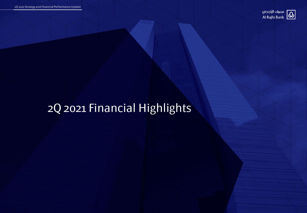

## 2Q 2021 Financial Highlights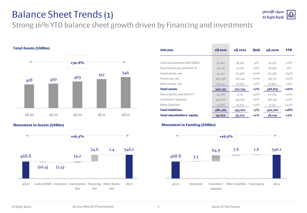## Balance Sheet Trends (1)

Strong 16% YTD balance sheet growth driven by Financing and investments



**Movement in Assets (SARbn)**



| SAR (mn)                          | 20 20 21 | 10 20 21 | QoQ     | 40 20 20 | <b>YTD</b> |
|-----------------------------------|----------|----------|---------|----------|------------|
|                                   |          |          |         |          |            |
| Cash and balances with SAMA       | 36,914   | 38,562   | $-4\%$  | 47,363   | $-22%$     |
| Due from banks and other FI       | 26,213   | 31,730   | $-17\%$ | 28,655   | $-9\%$     |
| Investments, net                  | 74,474   | 67,968   | $+10\%$ | 60,285   | $+24%$     |
| Financing, net                    | 390,296  | 356,144  | $+10\%$ | 315,712  | $+24%$     |
| Other assets, net                 | 18,243   | 17,829   | $+2\%$  | 16,810   | $+9\%$     |
| <b>Total assets</b>               | 546,139  | 512,234  | $+7%$   | 468,825  | $+16%$     |
| Due to banks and other FI         | 14,085   | 9,731    | $+45\%$ | 10,764   | $+31\%$    |
| Customers' deposits               | 447,506  | 421,269  | $+6\%$  | 382,631  | $+17\%$    |
| Other liabilities                 | 24,878   | 22,012   | $+13\%$ | 17,311   | $+44\%$    |
| <b>Total liabilities</b>          | 486,469  | 453,011  | $+7%$   | 410,706  | $+18%$     |
| <b>Total shareholders' equity</b> | 59,670   | 59,222   | $+1\%$  | 58,119   | $+3%$      |

#### **Movement in Funding (SARbn)**

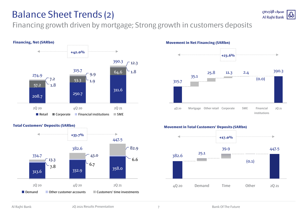## Balance Sheet Trends (2)

Financing growth driven by mortgage; Strong growth in customers deposits





**Movement in Net Financing (SARbn)**





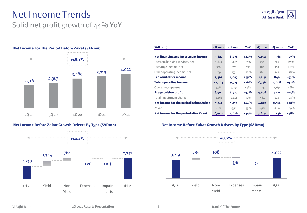### Net Income Trends Solid net profit growth of 44% YoY



#### **Net Income For The Period Before Zakat (SARmn)**





| SAR (mn)                                   | 1H 2021  | 1H 2020  | YoY     | 20 20 21 | 20 20 20 | YoY     |
|--------------------------------------------|----------|----------|---------|----------|----------|---------|
|                                            |          |          |         |          |          |         |
| <b>Net financing and investment income</b> | 9,822    | 8,078    | $+22%$  | 5,052    | 3,968    | $+27%$  |
| Fee from banking services, net             | 1,843    | 1,147    | $+61%$  | 934      | 529      | $+77\%$ |
| Exchange Income, net                       | 359      | 377      | $-5\%$  | 184      | 170      | $+8%$   |
| Other operating income, net                | 259      | 173      | $+50%$  | 166      | 141      | $+18%$  |
| <b>Fees and other income</b>               | 2,462    | 1,697    | $+45%$  | 1,285    | 840      | $+53%$  |
| <b>Total operating income</b>              | 12,284   | 9,775    | $+26%$  | 6,336    | 4,808    | $+32\%$ |
| Operating expenses                         | $-3,382$ | $-3,255$ | $+4\%$  | $-1,730$ | $-1,634$ | $+6\%$  |
| <b>Pre-provision profit</b>                | 8,902    | 6,520    | $+37%$  | 4,606    | 3,174    | $+45%$  |
| Total impairment charge                    | $-1,161$ | $-1,151$ | $+1\%$  | $-584$   | -458     | $+28%$  |
| Net income for the period before Zakat     | 7,741    | 5,370    | $+44\%$ | 4,022    | 2,716    | $+48%$  |
| Zakat                                      | $-801$   | $-554$   | $+45\%$ | $-418$   | $-280$   | $+49%$  |
| Net income for the period after Zakat      | 6,940    | 4,816    | $+44\%$ | 3,605    | 2,436    | $+48%$  |

#### **Net Income Before Zakat Growth Drivers By Type (SARmn)**

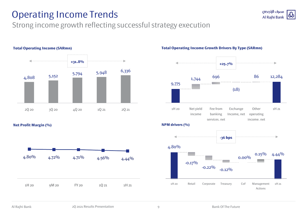## Operating Income Trends

### Strong income growth reflecting successful strategy execution



**Total Operating Income (SARmn)**

**Net Profit Margin (%)**



**Total Operating Income Growth Drivers By Type (SARmn)**



مصرف الراجحى ω **Al Rajhi Bank**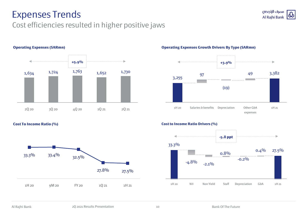## Expenses Trends

### Cost efficiencies resulted in higher positive jaws



#### **Operating Expenses (SARmn)**

**Cost To Income Ratio (%)**



#### **Operating Expenses Growth Drivers By Type (SARmn)**



#### **Cost to Income Ratio Drivers (%)**



مصرف الراجحى ω Al Rajhi Bank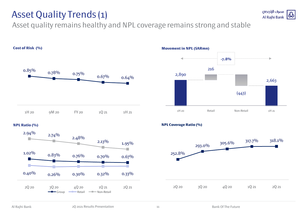## Asset Quality Trends (1)

Asset quality remains healthy and NPL coverage remains strong and stable



### **NPL Ratio (%)**





#### **NPL Coverage Ratio (%)**

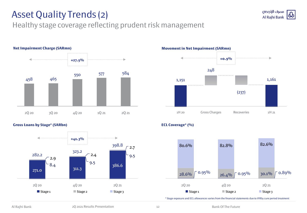## Asset Quality Trends (2)

### Healthy stage coverage reflecting prudent risk management



### **Gross Loans by Stage\* (SARbn)**





مصرف الراجحى Al Rajhi Bank



\* Stage exposure and ECL allowances varies from the financial statements due to IFRS9 cure period treatment

**ECL Coverage\* (%)**

12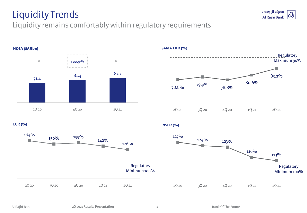## Liquidity Trends





## 78.8% 79.9% 78.8% 80.6% 83.2% 2Q 20 3Q 20 4Q 20 1Q 21 2Q 21 Regulatory Maximum 90%

### **SAMA LDR (%)**

**LCR (%)**



**NSFR (%)**





مصرف الراجحى

Al Rajhi Bank

 $\bf \Phi$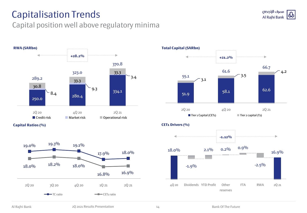## Capitalisation Trends

### Capital position well above regulatory minima







 $51.9$   $58.1$   $62.6$ 3.1 3.5 4.2 55.1 61.6 66.7 **+21.2%** 2Q 20 2Q 21 **Total Capital (SARbn)** ■ Tier 1 Capital (CET1) Tier 2 capital (T2)



مصرف الراجحى  $\bf \Phi$ Al Rajhi Bank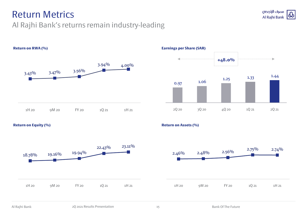## Return Metrics

### Al Rajhi Bank's returns remain industry-leading



# $\begin{array}{cccc} 1.06 & & 1.25 & & 1.33 & & 1.44 \ 0.97 & & 1.06 & & & \end{array}$ **+48.0%**



#### **Return on Equity (%)**



### **Return on Assets (%)**

**Earnings per Share (SAR)**



مصرف الراجحى Φ Al Rajhi Bank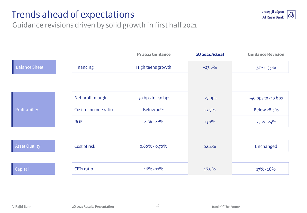## Trends ahead of expectations



Guidance revisions driven by solid growth in first half 2021

|                      |                        | <b>FY 2021 Guidance</b> | <b>2Q 2021 Actual</b> | <b>Guidance Revision</b> |
|----------------------|------------------------|-------------------------|-----------------------|--------------------------|
| <b>Balance Sheet</b> | <b>Financing</b>       | High teens growth       | $+23.6%$              | $32\% - 35\%$            |
|                      |                        |                         |                       |                          |
|                      | Net profit margin      | -30 bps to -40 bps      | $-27$ bps             | -40 bps to -50 bps       |
| Profitability        | Cost to income ratio   | <b>Below 30%</b>        | $27.5\%$              | Below 28.5%              |
|                      | <b>ROE</b>             | $21\% - 22\%$           | 23.1%                 | $23\% - 24\%$            |
|                      |                        |                         |                       |                          |
| <b>Asset Quality</b> | Cost of risk           | $0.60\% - 0.70\%$       | 0.64%                 | Unchanged                |
|                      |                        |                         |                       |                          |
| Capital              | CET <sub>1</sub> ratio | $16\% - 17\%$           | 16.9%                 | $17\% - 18\%$            |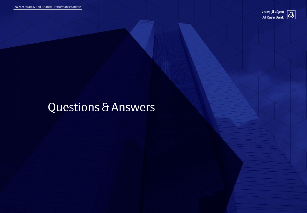

## Questions & Answers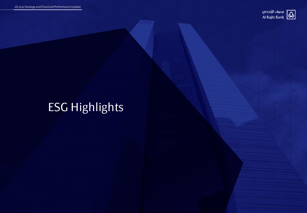

## ESG Highlights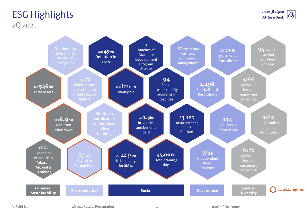### ESG Highlights 2Q 2021



Al Rajhi Bank 2Q 2021 Results Presentation 19 and 2Q 2021 Results Presentation and 2Q 2021 Results Presentation

19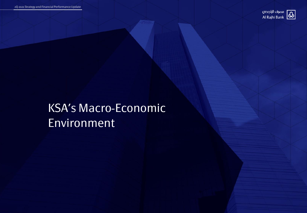

## KSA's Macro-Economic Environment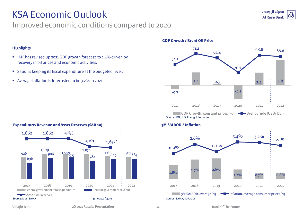## KSA Economic Outlook

recovery in oil prices and economic activities.

Average inflation is forecasted to be 3.2% in 2021.

■ IMF has revised up 2021 GDP growth forecast to 2.4% driven by

Saudi is keeping its fiscal expenditure at the budgeted level.

### Improved economic conditions compared to 2020



#### **GDP Growth / Brent Oil Price**



### **Expenditure/Revenue and Asset Reserves (SARbn)**



**Highlights**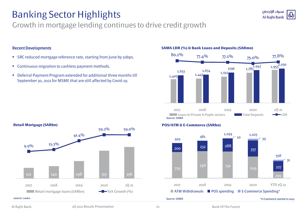## Banking Sector Highlights

### Growth in mortgage lending continues to drive credit growth

### Recent Developments

- SRC reduced mortgage reference rate, starting from June by 10bps.
- **Continuous migration to cashless payment methods.**
- Deferral Payment Program extended for additional three months till September 30, 2021 for MSME that are still affected by Covid-19.



**SAMA LDR (%) & Bank Loans and Deposits (SARmn)**



مصرف الراجحى Al Rajhi Bank

#### **POS/ATM & E-Commerce (SARbn)**

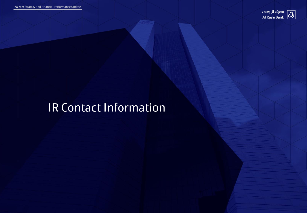

## IR Contact Information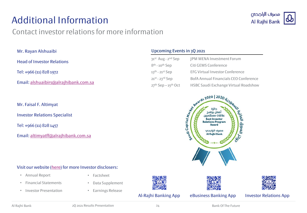## Additional Information

### Contact investor relations for more information



Mr. Rayan Alshuaibi

Head of Investor Relations

Tel: +966 (11) 828 1972

Email: [alshuaibirs@alrajhibank.com.sa](mailto:altimyatff@alrajhibank.com.sa)

Mr. Faisal F. Altimyat

Investor Relations Specialist

Tel: +966 (11) 828 1457

Email: [altimyatff@alrajhibank.com.sa](mailto:altimyatff@alrajhibank.com.sa)

### Upcoming Events in 3Q 2021

| 31st Aug - 2nd Sep     | <b>JPM MENA Investment Forum</b>             |
|------------------------|----------------------------------------------|
| $8th - 10th$ Sep       | Citi GEMS Conference                         |
| $13th - 21st$ Sep      | <b>EFG Virtual Investor Conference</b>       |
| $21^{st}$ - 23rd Sep   | <b>BofA Annual Financials CEO Conference</b> |
| $27th$ Sep $-15th$ Oct | HSBC Saudi Exchange Virtual Roadshow         |



### Visit our website ([here\)](https://www.alrajhibank.com.sa/en/alrajhi-group/investor-relations) for more Investor disclosers:

• Annual Report

• Factsheet

- Financial Statements
- Investor Presentation
- Data Supplement
- Earnings Release





### Al-Rajhi Banking App eBusiness Banking App Investor Relations App